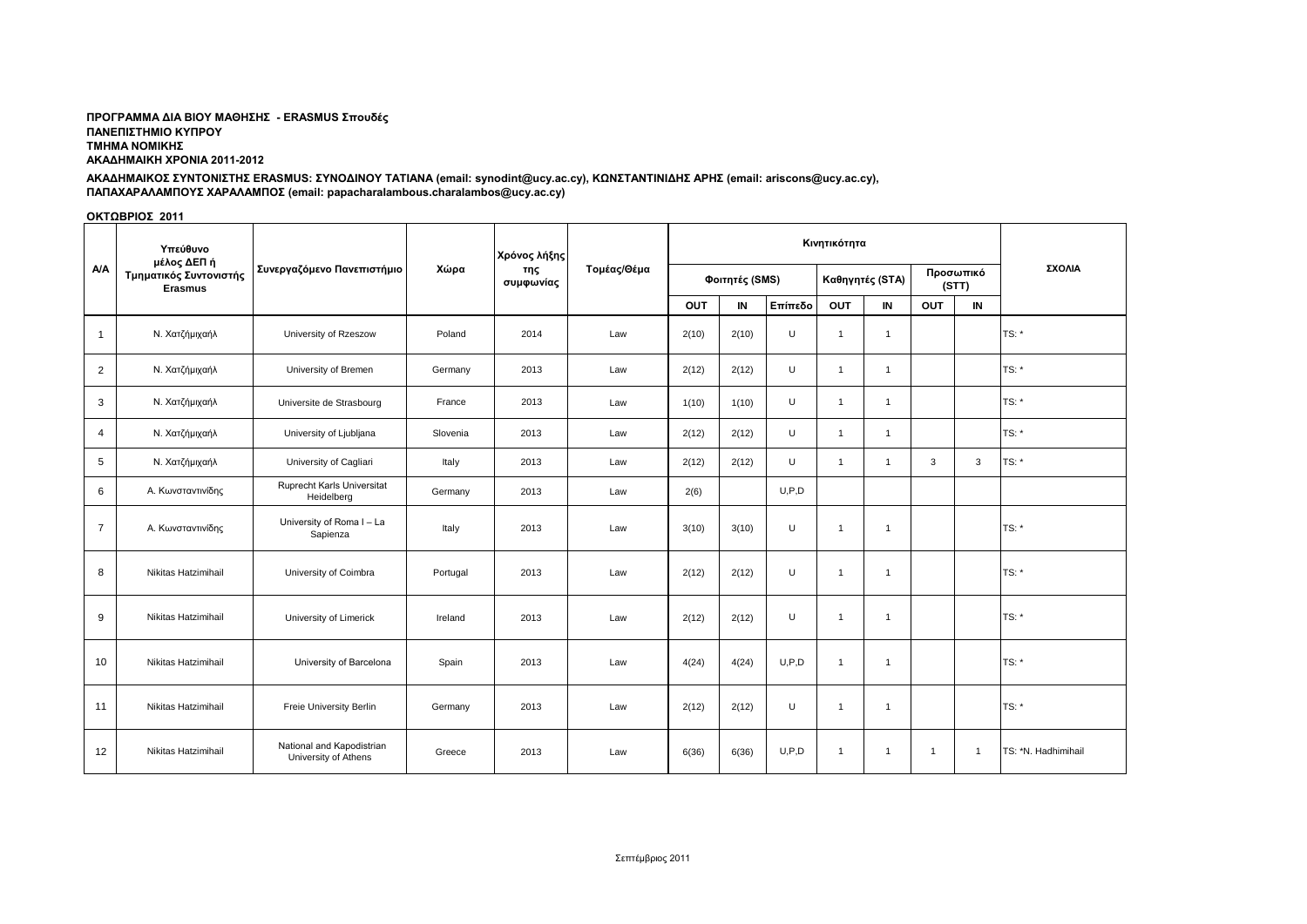## ΠΡΟΓΡΑΜΜΑ ΔΙΑ ΒΙΟΥ ΜΑΘΗΣΗΣ - ERASMUS Σπουδές **ΠΑΝΔΠΙΣΗΜΙΟ ΚΤΠΡΟΤ ΣΜΗΜΑ ΝΟΜΙΚΗ ΑΚΑΔΗΜΑΙΚΗ ΧΡΟΝΙΑ 2011-2012**

# ΑΚΑΔΗΜΑΙΚΟΣ ΣΥΝΤΟΝΙΣΤΗΣ ERASMUS: ΣΥΝΟΔΙΝΟΥ ΤΑΤΙΑΝΑ (email: synodint@ucy.ac.cy), ΚΩΝΣΤΑΝΤΙΝΙΔΗΣ ΑΡΗΣ (email: ariscons@ucy.ac.cy), ΠΑΠΑΧΑΡΑΛΑΜΠΟΥΣ ΧΑΡΑΛΑΜΠΟΣ (email: papacharalambous.charalambos@ucy.ac.cy)

# ΟΚΤΩΒΡΙΟΣ 2011

| <b>A/A</b>     | Υπεύθυνο<br>μέλος ΔΕΠ ή<br>Τμηματικός Συντονιστής<br><b>Erasmus</b> | Συνεργαζόμενο Πανεπιστήμιο                        | Χώρα     | Χρόνος λήξης<br>της<br>συμφωνίας | Τομέας/Θέμα |                |          |         |                 |                |                    |                |                     |
|----------------|---------------------------------------------------------------------|---------------------------------------------------|----------|----------------------------------|-------------|----------------|----------|---------|-----------------|----------------|--------------------|----------------|---------------------|
|                |                                                                     |                                                   |          |                                  |             | Φοιτητές (SMS) |          |         | Καθηγητές (STA) |                | Προσωπικό<br>(STT) |                | ΣΧΟΛΙΑ              |
|                |                                                                     |                                                   |          |                                  |             | OUT            | $\sf IN$ | Επίπεδο | OUT             | IN             | OUT                | $\blacksquare$ |                     |
| $\overline{1}$ | Ν. Χατζήμιχαήλ                                                      | University of Rzeszow                             | Poland   | 2014                             | Law         | 2(10)          | 2(10)    | U       | $\overline{1}$  | $\overline{1}$ |                    |                | $TS:$ *             |
| $\overline{2}$ | Ν. Χατζήμιχαήλ                                                      | University of Bremen                              | Germany  | 2013                             | Law         | 2(12)          | 2(12)    | U       | $\overline{1}$  | $\overline{1}$ |                    |                | TS: *               |
| 3              | Ν. Χατζήμιχαήλ                                                      | Universite de Strasbourg                          | France   | 2013                             | Law         | 1(10)          | 1(10)    | U       | $\overline{1}$  | $\overline{1}$ |                    |                | TS: *               |
| $\overline{4}$ | Ν. Χατζήμιχαήλ                                                      | University of Ljubljana                           | Slovenia | 2013                             | Law         | 2(12)          | 2(12)    | U       | $\mathbf{1}$    | $\overline{1}$ |                    |                | $TS:$ *             |
| 5              | Ν. Χατζήμιχαήλ                                                      | University of Cagliari                            | Italy    | 2013                             | Law         | 2(12)          | 2(12)    | U       | $\mathbf{1}$    | $\overline{1}$ | 3                  | 3              | TS: *               |
| 6              | Α. Κωνσταντινίδης                                                   | Ruprecht Karls Universitat<br>Heidelberg          | Germany  | 2013                             | Law         | 2(6)           |          | U.P.D   |                 |                |                    |                |                     |
| $\overline{7}$ | Α. Κωνσταντινίδης                                                   | University of Roma I - La<br>Sapienza             | Italy    | 2013                             | Law         | 3(10)          | 3(10)    | U       | $\overline{1}$  | $\overline{1}$ |                    |                | $TS:$ *             |
| 8              | Nikitas Hatzimihail                                                 | University of Coimbra                             | Portugal | 2013                             | Law         | 2(12)          | 2(12)    | U       | $\overline{1}$  | $\mathbf{1}$   |                    |                | TS: *               |
| 9              | Nikitas Hatzimihail                                                 | University of Limerick                            | Ireland  | 2013                             | Law         | 2(12)          | 2(12)    | U       | $\overline{1}$  | $\overline{1}$ |                    |                | $TS:$ *             |
| 10             | Nikitas Hatzimihail                                                 | University of Barcelona                           | Spain    | 2013                             | Law         | 4(24)          | 4(24)    | U, P, D | $\overline{1}$  | $\overline{1}$ |                    |                | TS: *               |
| 11             | Nikitas Hatzimihail                                                 | Freie University Berlin                           | Germany  | 2013                             | Law         | 2(12)          | 2(12)    | $\cup$  | $\overline{1}$  | $\overline{1}$ |                    |                | $TS:$ *             |
| 12             | Nikitas Hatzimihail                                                 | National and Kapodistrian<br>University of Athens | Greece   | 2013                             | Law         | 6(36)          | 6(36)    | U, P, D | $\overline{1}$  | $\overline{1}$ | $\overline{1}$     | $\mathbf{1}$   | TS: *N. Hadhimihail |